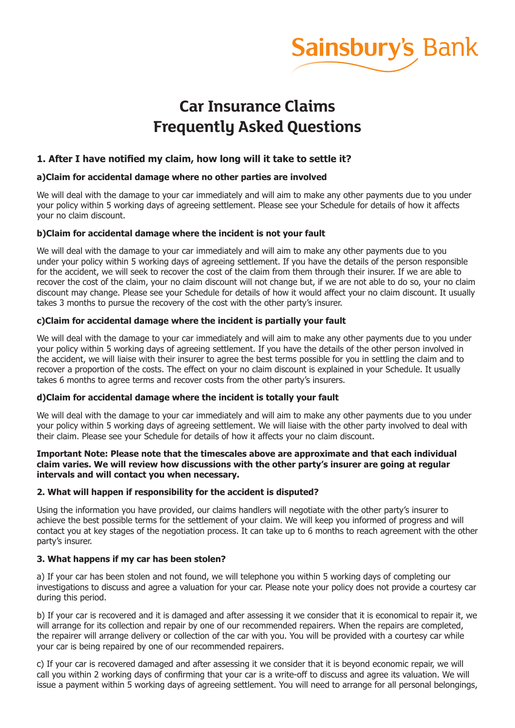

# **Car Insurance Claims Frequently Asked Questions**

# **1. After I have notified my claim, how long will it take to settle it?**

## **a)Claim for accidental damage where no other parties are involved**

We will deal with the damage to your car immediately and will aim to make any other payments due to you under your policy within 5 working days of agreeing settlement. Please see your Schedule for details of how it affects your no claim discount.

# **b)Claim for accidental damage where the incident is not your fault**

We will deal with the damage to your car immediately and will aim to make any other payments due to you under your policy within 5 working days of agreeing settlement. If you have the details of the person responsible for the accident, we will seek to recover the cost of the claim from them through their insurer. If we are able to recover the cost of the claim, your no claim discount will not change but, if we are not able to do so, your no claim discount may change. Please see your Schedule for details of how it would affect your no claim discount. It usually takes 3 months to pursue the recovery of the cost with the other party's insurer.

# **c)Claim for accidental damage where the incident is partially your fault**

We will deal with the damage to your car immediately and will aim to make any other payments due to you under your policy within 5 working days of agreeing settlement. If you have the details of the other person involved in the accident, we will liaise with their insurer to agree the best terms possible for you in settling the claim and to recover a proportion of the costs. The effect on your no claim discount is explained in your Schedule. It usually takes 6 months to agree terms and recover costs from the other party's insurers.

#### **d)Claim for accidental damage where the incident is totally your fault**

We will deal with the damage to your car immediately and will aim to make any other payments due to you under your policy within 5 working days of agreeing settlement. We will liaise with the other party involved to deal with their claim. Please see your Schedule for details of how it affects your no claim discount.

#### **Important Note: Please note that the timescales above are approximate and that each individual claim varies. We will review how discussions with the other party's insurer are going at regular intervals and will contact you when necessary.**

#### **2. What will happen if responsibility for the accident is disputed?**

Using the information you have provided, our claims handlers will negotiate with the other party's insurer to achieve the best possible terms for the settlement of your claim. We will keep you informed of progress and will contact you at key stages of the negotiation process. It can take up to 6 months to reach agreement with the other party's insurer.

# **3. What happens if my car has been stolen?**

a) If your car has been stolen and not found, we will telephone you within 5 working days of completing our investigations to discuss and agree a valuation for your car. Please note your policy does not provide a courtesy car during this period.

b) If your car is recovered and it is damaged and after assessing it we consider that it is economical to repair it, we will arrange for its collection and repair by one of our recommended repairers. When the repairs are completed, the repairer will arrange delivery or collection of the car with you. You will be provided with a courtesy car while your car is being repaired by one of our recommended repairers.

c) If your car is recovered damaged and after assessing it we consider that it is beyond economic repair, we will call you within 2 working days of confirming that your car is a write-off to discuss and agree its valuation. We will issue a payment within 5 working days of agreeing settlement. You will need to arrange for all personal belongings,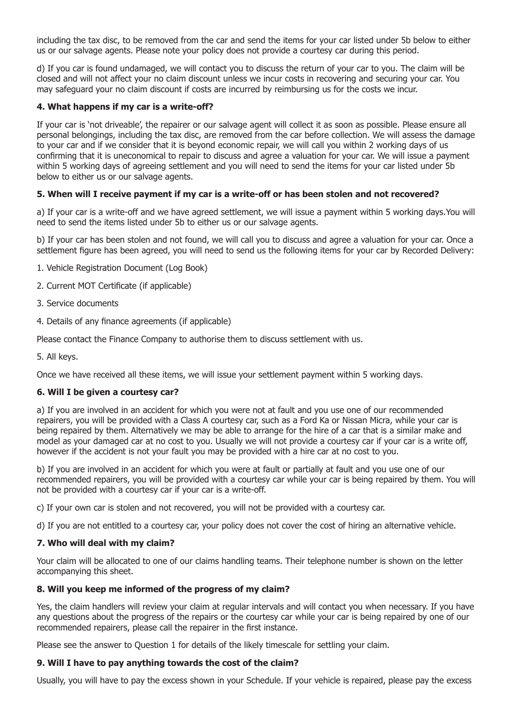including the tax disc, to be removed from the car and send the items for your car listed under 5b below to either us or our salvage agents. Please note your policy does not provide a courtesy car during this period.

d) If you car is found undamaged, we will contact you to discuss the return of your car to you. The claim will be closed and will not affect your no claim discount unless we incur costs in recovering and securing your car. You may safeguard your no claim discount if costs are incurred by reimbursing us for the costs we incur.

## **4. What happens if my car is a write-off?**

If your car is 'not driveable', the repairer or our salvage agent will collect it as soon as possible. Please ensure all personal belongings, including the tax disc, are removed from the car before collection. We will assess the damage to your car and if we consider that it is beyond economic repair, we will call you within 2 working days of us confirming that it is uneconomical to repair to discuss and agree a valuation for your car. We will issue a payment within 5 working days of agreeing settlement and you will need to send the items for your car listed under 5b below to either us or our salvage agents.

# **5. When will I receive payment if my car is a write-off or has been stolen and not recovered?**

a) If your car is a write-off and we have agreed settlement, we will issue a payment within 5 working days.You will need to send the items listed under 5b to either us or our salvage agents.

b) If your car has been stolen and not found, we will call you to discuss and agree a valuation for your car. Once a settlement figure has been agreed, you will need to send us the following items for your car by Recorded Delivery:

- 1. Vehicle Registration Document (Log Book)
- 2. Current MOT Certificate (if applicable)
- 3. Service documents
- 4. Details of any finance agreements (if applicable)

Please contact the Finance Company to authorise them to discuss settlement with us.

5. All keys.

Once we have received all these items, we will issue your settlement payment within 5 working days.

## **6. Will I be given a courtesy car?**

a) If you are involved in an accident for which you were not at fault and you use one of our recommended repairers, you will be provided with a Class A courtesy car, such as a Ford Ka or Nissan Micra, while your car is being repaired by them. Alternatively we may be able to arrange for the hire of a car that is a similar make and model as your damaged car at no cost to you. Usually we will not provide a courtesy car if your car is a write off, however if the accident is not your fault you may be provided with a hire car at no cost to you.

b) If you are involved in an accident for which you were at fault or partially at fault and you use one of our recommended repairers, you will be provided with a courtesy car while your car is being repaired by them. You will not be provided with a courtesy car if your car is a write-off.

c) If your own car is stolen and not recovered, you will not be provided with a courtesy car.

d) If you are not entitled to a courtesy car, your policy does not cover the cost of hiring an alternative vehicle.

#### **7. Who will deal with my claim?**

Your claim will be allocated to one of our claims handling teams. Their telephone number is shown on the letter accompanying this sheet.

#### **8. Will you keep me informed of the progress of my claim?**

Yes, the claim handlers will review your claim at regular intervals and will contact you when necessary. If you have any questions about the progress of the repairs or the courtesy car while your car is being repaired by one of our recommended repairers, please call the repairer in the first instance.

Please see the answer to Question 1 for details of the likely timescale for settling your claim.

#### **9. Will I have to pay anything towards the cost of the claim?**

Usually, you will have to pay the excess shown in your Schedule. If your vehicle is repaired, please pay the excess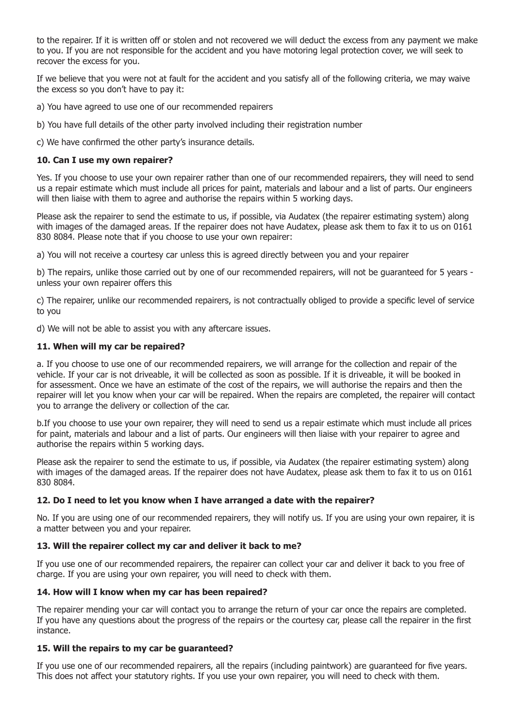to the repairer. If it is written off or stolen and not recovered we will deduct the excess from any payment we make to you. If you are not responsible for the accident and you have motoring legal protection cover, we will seek to recover the excess for you.

If we believe that you were not at fault for the accident and you satisfy all of the following criteria, we may waive the excess so you don't have to pay it:

a) You have agreed to use one of our recommended repairers

b) You have full details of the other party involved including their registration number

c) We have confirmed the other party's insurance details.

#### **10. Can I use my own repairer?**

Yes. If you choose to use your own repairer rather than one of our recommended repairers, they will need to send us a repair estimate which must include all prices for paint, materials and labour and a list of parts. Our engineers will then liaise with them to agree and authorise the repairs within 5 working days.

Please ask the repairer to send the estimate to us, if possible, via Audatex (the repairer estimating system) along with images of the damaged areas. If the repairer does not have Audatex, please ask them to fax it to us on 0161 830 8084. Please note that if you choose to use your own repairer:

a) You will not receive a courtesy car unless this is agreed directly between you and your repairer

b) The repairs, unlike those carried out by one of our recommended repairers, will not be guaranteed for 5 years unless your own repairer offers this

c) The repairer, unlike our recommended repairers, is not contractually obliged to provide a specific level of service to you

d) We will not be able to assist you with any aftercare issues.

#### **11. When will my car be repaired?**

a. If you choose to use one of our recommended repairers, we will arrange for the collection and repair of the vehicle. If your car is not driveable, it will be collected as soon as possible. If it is driveable, it will be booked in for assessment. Once we have an estimate of the cost of the repairs, we will authorise the repairs and then the repairer will let you know when your car will be repaired. When the repairs are completed, the repairer will contact you to arrange the delivery or collection of the car.

b.If you choose to use your own repairer, they will need to send us a repair estimate which must include all prices for paint, materials and labour and a list of parts. Our engineers will then liaise with your repairer to agree and authorise the repairs within 5 working days.

Please ask the repairer to send the estimate to us, if possible, via Audatex (the repairer estimating system) along with images of the damaged areas. If the repairer does not have Audatex, please ask them to fax it to us on 0161 830 8084.

#### **12. Do I need to let you know when I have arranged a date with the repairer?**

No. If you are using one of our recommended repairers, they will notify us. If you are using your own repairer, it is a matter between you and your repairer.

#### **13. Will the repairer collect my car and deliver it back to me?**

If you use one of our recommended repairers, the repairer can collect your car and deliver it back to you free of charge. If you are using your own repairer, you will need to check with them.

#### **14. How will I know when my car has been repaired?**

The repairer mending your car will contact you to arrange the return of your car once the repairs are completed. If you have any questions about the progress of the repairs or the courtesy car, please call the repairer in the first instance.

#### **15. Will the repairs to my car be guaranteed?**

If you use one of our recommended repairers, all the repairs (including paintwork) are guaranteed for five years. This does not affect your statutory rights. If you use your own repairer, you will need to check with them.